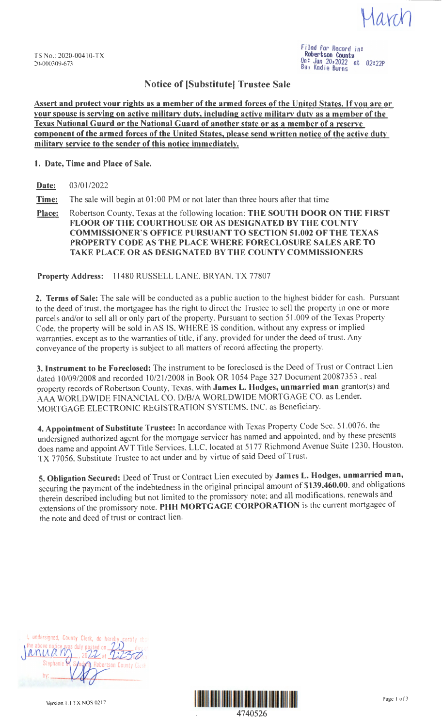Javin

Filed for Record *in:*  Robertson County On: *Jan* \_20,2022 at 02:22p B!I, Kad1e Burns

## **Notice of [Substitute! Trustee Sale**

**Assert and protect your rights as a member of the armed forces of the United States.** If **you are or your spouse is serving on active military duty, including active military duty as a member of the Texas National Guard or the National Guard of another state or as a member of a reserve component of the armed forces of the United States, please send written notice of the active duty militarv service to the sender of this notice immediately.** 

### **1. Date, Time and Place of Sale.**

**Date:** 03/01/2022

**Time:** The sale will begin at 01:00 PM or not later than three hours after that time

**Place:** Robertson County, Texas at the following location: **THE SOUTH DOOR ON THE FIRST FLOOR OF THE COURTHOUSE OR AS DESIGNATED BY THE COUNTY COMMISSIONER'S OFFICE PURSUANT TO SECTION 51.002 OF THE TEXAS PROPERTY CODE AS THE PLACE WHERE FORECLOSURE SALES ARE TO TAKE PLACE OR AS DESIGNATED BY THE COUNTY COMMISSIONERS** 

**Property Address:** 11480 RUSSELL LANE, BRYAN, TX 77807

**2. Terms of Sale:** The sale will be conducted as a public auction to the highest bidder for cash. Pursuant to the deed of trust, the mortgagee has the right to direct the Trustee to sell the property in one or more parcels and/or to sell all or only part of the property. Pursuant to section 51.009 of the Texas Property Code. the property will be sold in AS IS, WHERE IS condition, without any express or implied warranties. except as to the warranties of title, if any, provided for under the deed of trust. Any conveyance of the property is subject to all matters of record affecting the property.

**3. Instrument to be Foreclosed:** The instrument to be foreclosed is the Deed of Trust or Contract Lien dated 10/09/2008 and recorded 10/21/2008 in Book OR 1054 Page 327 Document 20087353, real property records of Robertson County, Texas, with James L. Hodges, unmarried man grantor(s) and AA WORLDWIDE FINANCIAL CO. D/B/A WORLDWIDE MORTGAGE CO. as Lender, MORTGAGE ELECTRONIC REGISTRATION SYSTEMS, INC. as Beneficiary.

**4. Appointment of Substitute Trustee:** In accordance with Texas Property Code Sec. 51.0076, the undersigned authorized agent for the mortgage servicer has named and appointed, and by these presents does name and appoint AVT Title Services, LLC, located at 5177 Richmond Avenue Suite 1230, Houston, TX 77056. Substitute Trustee to act under and by virtue of said Deed of Trust.

**S. Obligation Secured:** Deed of Trust or Contract Lien executed by **James L. Hodges, unmarried man,**  securing the payment of the indebtedness in the original principal amount of **\$139,460.00,** and obligations therein described including but not limited to the promissory note; and all modifications, renewals and extensions of the promissory note. **PHH MORTGAGE CORPORATION** is the current mortgagee of the note and deed of trust or contract lien.

| I, undersigned, County Clerk, do hereby certify that |
|------------------------------------------------------|
| the above notice was duly posted on 20 day of        |
| Stephanie<br>Sandors Robertson County Cierk          |
|                                                      |
|                                                      |

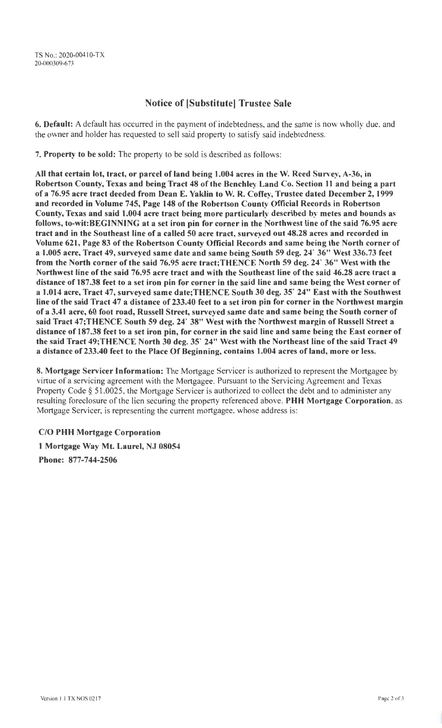# Notice of [Substitute] Trustee Sale

6. Default: A default has occurred in the payment of indebtedness, and the same is now wholly due, and the owner and holder has requested to sell said property to satisfy said indebtedness.

7. Property to be sold: The property to be sold is described as follows:

All that certain lot, tract, or parcel of land being 1.004 acres in the W. Reed Survey, A-36, in Robertson County, Texas and being Tract 48 of the Benchley Land Co. Section 11 and being a part of a 76.95 acre tract deeded from Dean E. Yaklin to W. R. Coffey, Trustee dated December 2, 1999 and recorded in Volume 745, Page 148 of the Robertson County Official Records in Robertson County, Texas and said 1.004 acre tract being more particularly described by metes and bounds a follows, to-wit:BEGINNING at a set iron pin for corner in the Northwest line of the said 76.95 acre tract and in the Southeast line of a called 50 acre tract, surveyed out 48.28 acres and recorded in Volume 621, Page 83 of the Robertson County Official Records and same being the North corner of a l.005 acre, Tract 49, surveyed same date and same being South 59 deg. 24' 36" West 336.73 feet from the North corner of the said 76.95 acre tract;THENCE North 59 deg. 24' 36" West with the Northwest line of the said 76.95 acre tract and with the Southeast line of the said 46.28 acre tract a distance of 187.38 feet to a set iron pin for corner in the said line and same being the West corner of a 1.014 acre, Tract 47, surveyed same date;THENCE South 30 deg. 35' 24" East with the Southwest line of the said Tract 47 a distance of 233.40 feet to a set iron pin for corner in the Northwest margin of a 3.41 acre, 60 foot road, Russell Street, surveyed same date and same being the South corner of said Tract 47;THENCE South 59 deg. 24' 38" West with the Northwest margin of Russell Street a distance of 187.38 feet to a set iron pin, for corner in the said line and same being the East corner of the said Tract 49;THENCE North 30 deg. 35' 24" West with the Northeast line of the said Tract 49 a distance of 233.40 feet to the Place Of Beginning, contains 1.004 acres of land, more or less.

8. Mortgage Servicer Information: The Mortgage Servicer is authorized to represent the Mortgagee by virtue of a servicing agreement with the Mortgagee. Pursuant to the Servicing Agreement and Texas Property Code § 51.0025, the Mortgage Servicer is authorized to collect the debt and to administer any resulting foreclosure of the lien securing the property referenced above. **PHH** Mortgage Corporation, as Mortgage Servicer, is representing the current mortgagee, whose address is:

## C/O PHH Mortgage Corporation

1 Mortgage Way Mt. Laurel, NJ 08054 Phone: 877-744-2506